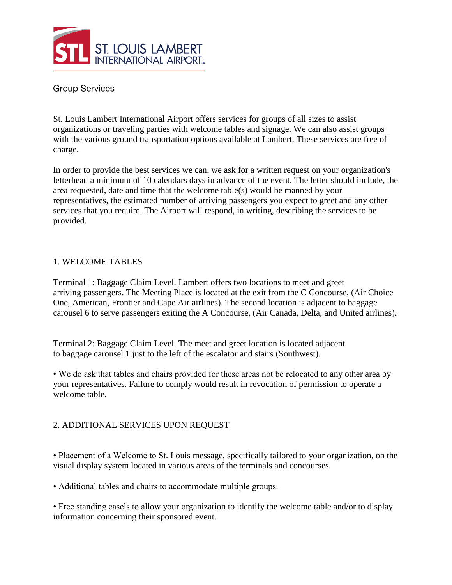

## **Group Services**

St. Louis Lambert International Airport offers services for groups of all sizes to assist organizations or traveling parties with welcome tables and signage. We can also assist groups with the various ground transportation options available at Lambert. These services are free of charge.

In order to provide the best services we can, we ask for a written request on your organization's letterhead a minimum of 10 calendars days in advance of the event. The letter should include, the area requested, date and time that the welcome table(s) would be manned by your representatives, the estimated number of arriving passengers you expect to greet and any other services that you require. The Airport will respond, in writing, describing the services to be provided.

## 1. WELCOME TABLES

Terminal 1: Baggage Claim Level. Lambert offers two locations to meet and greet arriving passengers. The Meeting Place is located at the exit from the C Concourse, (Air Choice One, American, Frontier and Cape Air airlines). The second location is adjacent to baggage carousel 6 to serve passengers exiting the A Concourse, (Air Canada, Delta, and United airlines).

Terminal 2: Baggage Claim Level. The meet and greet location is located adjacent to baggage carousel 1 just to the left of the escalator and stairs (Southwest).

• We do ask that tables and chairs provided for these areas not be relocated to any other area by your representatives. Failure to comply would result in revocation of permission to operate a welcome table.

## 2. ADDITIONAL SERVICES UPON REQUEST

• Placement of a Welcome to St. Louis message, specifically tailored to your organization, on the visual display system located in various areas of the terminals and concourses.

• Additional tables and chairs to accommodate multiple groups.

• Free standing easels to allow your organization to identify the welcome table and/or to display information concerning their sponsored event.